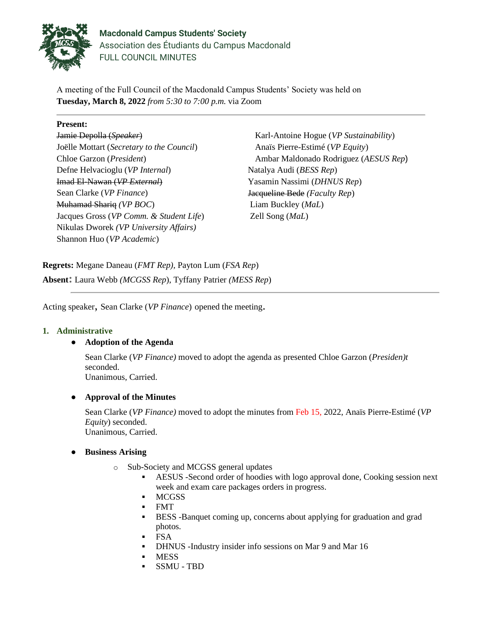

**Macdonald Campus Students' Society** Association des Étudiants du Campus Macdonald FULL COUNCIL MINUTES

A meeting of the Full Council of the Macdonald Campus Students' Society was held on **Tuesday, March 8, 2022** *from 5:30 to 7:00 p.m.* via Zoom

## **Present:**

Jamie Depolla (*Speaker*) Joëlle Mottart (*Secretary to the Council*) Chloe Garzon (*President*) Defne Helvacioglu (*VP Internal*) Imad El-Nawan (*VP External*) Sean Clarke (*VP Finance*) Muhamad Shariq *(VP BOC*) Jacques Gross (*VP Comm. & Student Life*) Nikulas Dworek *(VP University Affairs)* Shannon Huo (*VP Academic*)

Karl-Antoine Hogue (*VP Sustainability*) Anaïs Pierre-Estimé (*VP Equity*) Ambar Maldonado Rodriguez (*AESUS Rep*) Natalya Audi (*BESS Rep*) Yasamin Nassimi (*DHNUS Rep*) Jacqueline Bede *(Faculty Rep*) Liam Buckley (*MaL*) Zell Song (*MaL*)

**Regrets:** Megane Daneau (*FMT Rep),* Payton Lum (*FSA Rep*) **Absent:** Laura Webb *(MCGSS Rep*), Tyffany Patrier *(MESS Rep*)

Acting speaker, Sean Clarke (*VP Finance*) opened the meeting.

#### **1. Administrative**

## ● **Adoption of the Agenda**

Sean Clarke (*VP Finance)* moved to adopt the agenda as presented Chloe Garzon (*Presiden)t* seconded. Unanimous, Carried.

#### ● **Approval of the Minutes**

Sean Clarke (*VP Finance)* moved to adopt the minutes from Feb 15, 2022, Anaïs Pierre-Estimé (*VP Equity*) seconded. Unanimous, Carried.

#### ● **Business Arising**

- o Sub-Society and MCGSS general updates
	- AESUS -Second order of hoodies with logo approval done, Cooking session next week and exam care packages orders in progress.
	- MCGSS
	- FMT
	- BESS -Banquet coming up, concerns about applying for graduation and grad photos.
	- FSA
	- DHNUS -Industry insider info sessions on Mar 9 and Mar 16
	- **MESS**
	- SSMU TBD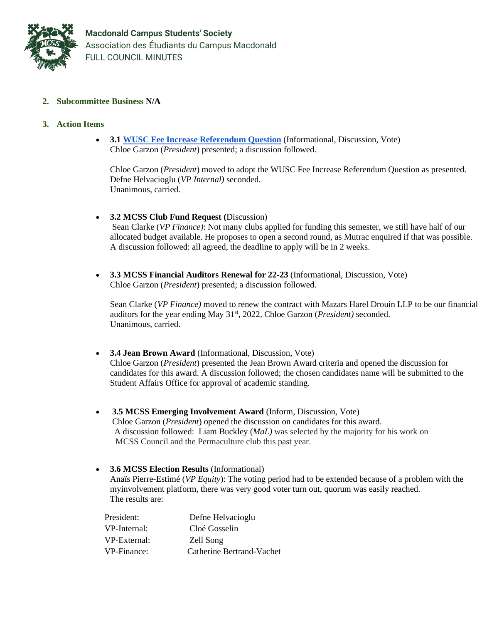

## **2. Subcommittee Business N/A**

#### **3. Action Items**

• **3.1 [WUSC Fee Increase Referendum Question](https://docs.google.com/document/d/10qfzegkCBHLOdWvBZxakQxj70XEX3POtB6j2Jq7CG-k/edit?usp=sharing)** (Informational, Discussion, Vote) Chloe Garzon (*President*) presented; a discussion followed.

Chloe Garzon (*President*) moved to adopt the [WUSC Fee Increase Referendum Question](https://docs.google.com/document/d/10qfzegkCBHLOdWvBZxakQxj70XEX3POtB6j2Jq7CG-k/edit?usp=sharing) as presented. Defne Helvacioglu (*VP Internal)* seconded. Unanimous, carried.

## • **3.2 MCSS Club Fund Request (**Discussion)

Sean Clarke (*VP Finance)*: Not many clubs applied for funding this semester, we still have half of our allocated budget available. He proposes to open a second round, as Mutrac enquired if that was possible. A discussion followed: all agreed, the deadline to apply will be in 2 weeks.

• **3.3 MCSS Financial Auditors Renewal for 22-23** (Informational, Discussion, Vote) Chloe Garzon (*President*) presented; a discussion followed.

Sean Clarke (*VP Finance)* moved to renew the contract with Mazars Harel Drouin LLP to be our financial auditors for the year ending May 31<sup>st</sup>, 2022, Chloe Garzon (*President*) seconded. Unanimous, carried.

- **3.4 Jean Brown Award** (Informational, Discussion, Vote) Chloe Garzon (*President*) presented the Jean Brown Award criteria and opened the discussion for candidates for this award. A discussion followed; the chosen candidates name will be submitted to the Student Affairs Office for approval of academic standing.
- **3.5 MCSS Emerging Involvement Award** (Inform, Discussion, Vote) Chloe Garzon (*President*) opened the discussion on candidates for this award. A discussion followed: Liam Buckley (*MaL)* was selected by the majority for his work on MCSS Council and the Permaculture club this past year.
- **3.6 MCSS Election Results** (Informational) Anaïs Pierre-Estimé (*VP Equity*): The voting period had to be extended because of a problem with the myinvolvement platform, there was very good voter turn out, quorum was easily reached. The results are:

| President:   | Defne Helvacioglu         |
|--------------|---------------------------|
| VP-Internal: | Cloé Gosselin             |
| VP-External: | Zell Song                 |
| VP-Finance:  | Catherine Bertrand-Vachet |